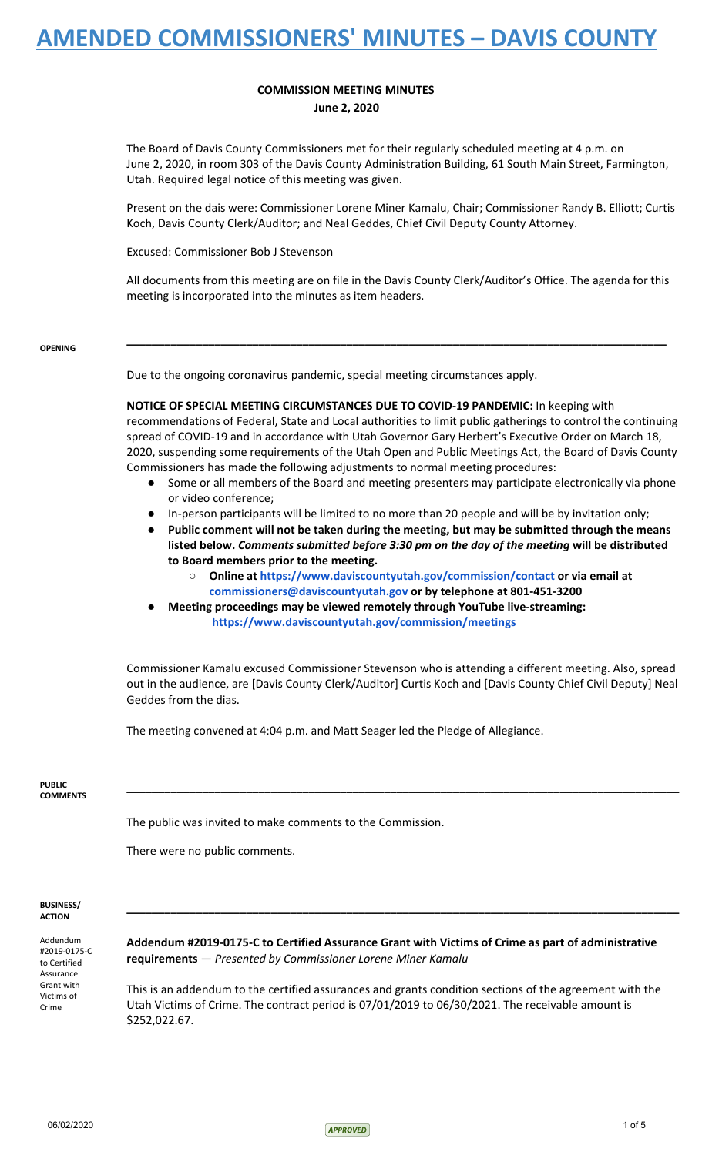#### **COMMISSION MEETING MINUTES June 2, 2020**

The Board of Davis County Commissioners met for their regularly scheduled meeting at 4 p.m. on June 2, 2020, in room 303 of the Davis County Administration Building, 61 South Main Street, Farmington, Utah. Required legal notice of this meeting was given.

Present on the dais were: Commissioner Lorene Miner Kamalu, Chair; Commissioner Randy B. Elliott; Curtis Koch, Davis County Clerk/Auditor; and Neal Geddes, Chief Civil Deputy County Attorney.

Excused: Commissioner Bob J Stevenson

All documents from this meeting are on file in the Davis County Clerk/Auditor's Office. The agenda for this meeting is incorporated into the minutes as item headers.

**\_\_\_\_\_\_\_\_\_\_\_\_\_\_\_\_\_\_\_\_\_\_\_\_\_\_\_\_\_\_\_\_\_\_\_\_\_\_\_\_\_\_\_\_\_\_\_\_\_\_\_\_\_\_\_\_\_\_\_\_\_\_\_\_\_\_\_\_\_\_\_\_\_\_\_\_\_\_\_\_\_\_\_\_\_\_**

#### **OPENING**

Due to the ongoing coronavirus pandemic, special meeting circumstances apply.

**NOTICE OF SPECIAL MEETING CIRCUMSTANCES DUE TO COVID-19 PANDEMIC:** In keeping with recommendations of Federal, State and Local authorities to limit public gatherings to control the continuing spread of COVID-19 and in accordance with Utah Governor Gary Herbert's Executive Order on March 18, 2020, suspending some requirements of the Utah Open and Public Meetings Act, the Board of Davis County Commissioners has made the following adjustments to normal meeting procedures:

- Some or all members of the Board and meeting presenters may participate electronically via phone or video conference;
- In-person participants will be limited to no more than 20 people and will be by invitation only;
- **● Public comment will not be taken during the meeting, but may be submitted through the means listed below.** *Comments submitted before 3:30 pm on the day of the meeting* **will be distributed to Board members prior to the meeting.**
	- **○ Online at <https://www.daviscountyutah.gov/commission/contact> or via [email](https://www.daviscountyutah.gov/commission/contact) at [commissioners@daviscountyutah.gov](https://www.daviscountyutah.gov/commission/contact) or by telephone at 801-451-3200**
	- **● Meeting proceedings may be viewed remotely through YouTube live-streaming: <https://www.daviscountyutah.gov/commission/meetings>**

Commissioner Kamalu excused Commissioner Stevenson who is attending a different meeting. Also, spread out in the audience, are [Davis County Clerk/Auditor] Curtis Koch and [Davis County Chief Civil Deputy] Neal Geddes from the dias.

**\_\_\_\_\_\_\_\_\_\_\_\_\_\_\_\_\_\_\_\_\_\_\_\_\_\_\_\_\_\_\_\_\_\_\_\_\_\_\_\_\_\_\_\_\_\_\_\_\_\_\_\_\_\_\_\_\_\_\_\_\_\_\_\_\_\_\_\_\_\_\_\_\_\_\_\_\_\_\_\_\_\_\_\_\_\_\_\_**

The meeting convened at 4:04 p.m. and Matt Seager led the Pledge of Allegiance.

#### **PUBLIC COMMENTS**

The public was invited to make comments to the Commission.

There were no public comments.

#### **BUSINESS/ ACTION**

Addendum #2019-0175-C to Certified Assurance Grant with Victims of Crime

**Addendum #2019-0175-C to Certified Assurance Grant with Victims of Crime as part of administrative requirements** — *Presented by Commissioner Lorene Miner Kamalu*

**\_\_\_\_\_\_\_\_\_\_\_\_\_\_\_\_\_\_\_\_\_\_\_\_\_\_\_\_\_\_\_\_\_\_\_\_\_\_\_\_\_\_\_\_\_\_\_\_\_\_\_\_\_\_\_\_\_\_\_\_\_\_\_\_\_\_\_\_\_\_\_\_\_\_\_\_\_\_\_\_\_\_\_\_\_\_\_\_**

This is an addendum to the certified assurances and grants condition sections of the agreement with the Utah Victims of Crime. The contract period is 07/01/2019 to 06/30/2021. The receivable amount is \$252,022.67.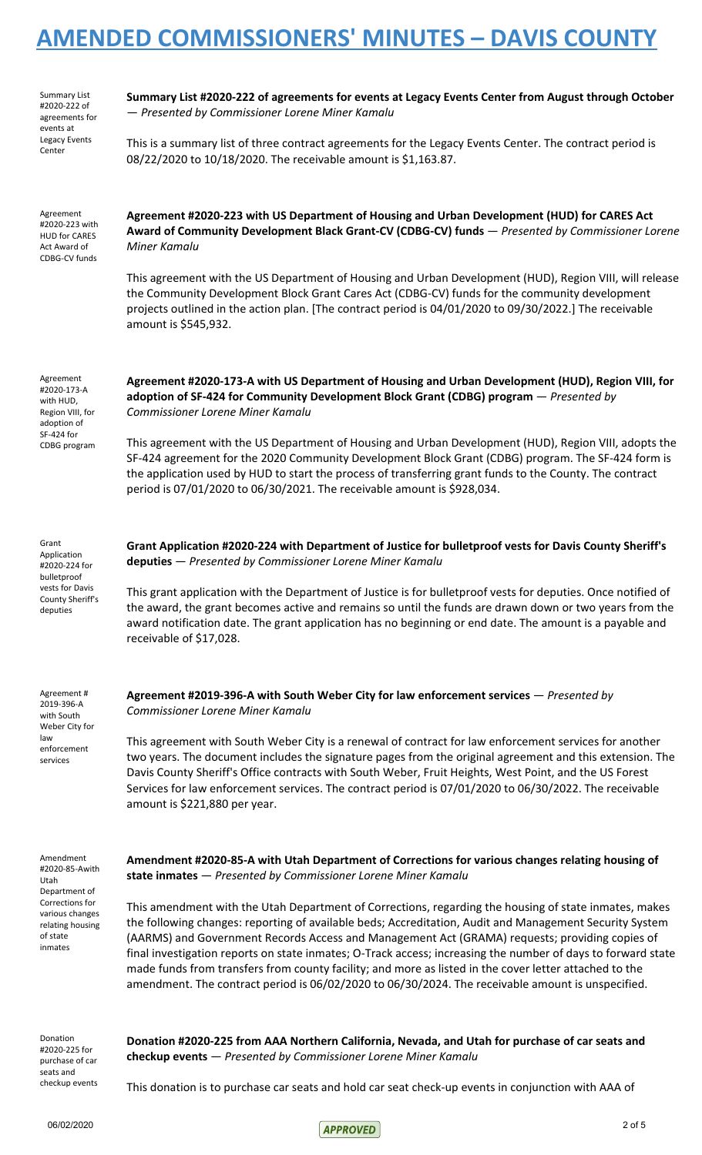Summary List #2020-222 of agreements for events at Legacy Events Center

**Summary List #2020-222 of agreements for events at Legacy Events Center from August through October** — *Presented by Commissioner Lorene Miner Kamalu*

This is a summary list of three contract agreements for the Legacy Events Center. The contract period is 08/22/2020 to 10/18/2020. The receivable amount is \$1,163.87.

Agreement #2020-223 with HUD for CARES Act Award of CDBG-CV funds

**Agreement #2020-223 with US Department of Housing and Urban Development (HUD) for CARES Act Award of Community Development Black Grant-CV (CDBG-CV) funds** — *Presented by Commissioner Lorene Miner Kamalu*

This agreement with the US Department of Housing and Urban Development (HUD), Region VIII, will release the Community Development Block Grant Cares Act (CDBG-CV) funds for the community development projects outlined in the action plan. [The contract period is 04/01/2020 to 09/30/2022.] The receivable amount is \$545,932.

Agreement #2020-173-A with HUD, Region VIII, for adoption of SF-424 for CDBG program **Agreement #2020-173-A with US Department of Housing and Urban Development (HUD), Region VIII, for adoption of SF-424 for Community Development Block Grant (CDBG) program** — *Presented by Commissioner Lorene Miner Kamalu*

This agreement with the US Department of Housing and Urban Development (HUD), Region VIII, adopts the SF-424 agreement for the 2020 Community Development Block Grant (CDBG) program. The SF-424 form is the application used by HUD to start the process of transferring grant funds to the County. The contract period is 07/01/2020 to 06/30/2021. The receivable amount is \$928,034.

Grant Application #2020-224 for bulletproof vests for Davis County Sheriff's deputies

**Grant Application #2020-224 with Department of Justice for bulletproof vests for Davis County Sheriff's deputies** — *Presented by Commissioner Lorene Miner Kamalu*

This grant application with the Department of Justice is for bulletproof vests for deputies. Once notified of the award, the grant becomes active and remains so until the funds are drawn down or two years from the award notification date. The grant application has no beginning or end date. The amount is a payable and receivable of \$17,028.

Agreement # 2019-396-A with South Weber City for law enforcement services

**Agreement #2019-396-A with South Weber City for law enforcement services** — *Presented by Commissioner Lorene Miner Kamalu*

This agreement with South Weber City is a renewal of contract for law enforcement services for another two years. The document includes the signature pages from the original agreement and this extension. The Davis County Sheriff's Office contracts with South Weber, Fruit Heights, West Point, and the US Forest Services for law enforcement services. The contract period is 07/01/2020 to 06/30/2022. The receivable amount is \$221,880 per year.

Amendment #2020-85-Awith Utah Department of Corrections for various changes relating housing of state inmates

**Amendment #2020-85-A with Utah Department of Corrections for various changes relating housing of state inmates** — *Presented by Commissioner Lorene Miner Kamalu*

This amendment with the Utah Department of Corrections, regarding the housing of state inmates, makes the following changes: reporting of available beds; Accreditation, Audit and Management Security System (AARMS) and Government Records Access and Management Act (GRAMA) requests; providing copies of final investigation reports on state inmates; O-Track access; increasing the number of days to forward state made funds from transfers from county facility; and more as listed in the cover letter attached to the amendment. The contract period is 06/02/2020 to 06/30/2024. The receivable amount is unspecified.

Donation #2020-225 for purchase of car seats and checkup events

**Donation #2020-225 from AAA Northern California, Nevada, and Utah for purchase of car seats and checkup events** — *Presented by Commissioner Lorene Miner Kamalu*

This donation is to purchase car seats and hold car seat check-up events in conjunction with AAA of

 $06/02/2020$  2 of 5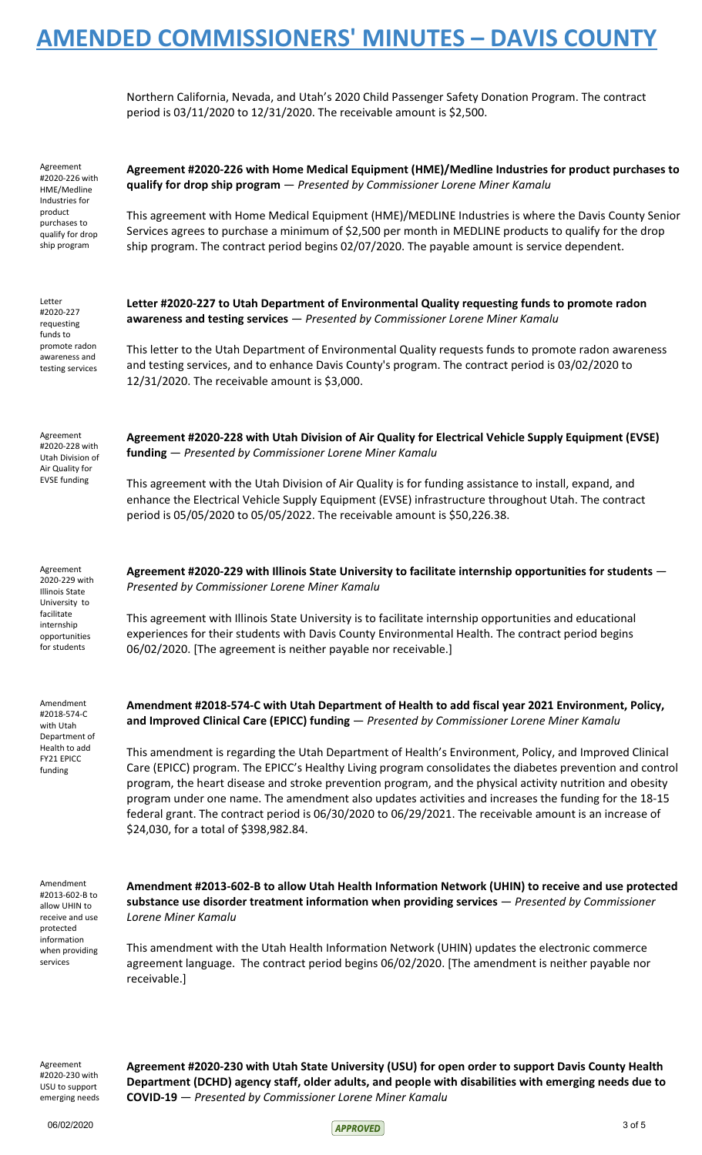Northern California, Nevada, and Utah's 2020 Child Passenger Safety Donation Program. The contract period is 03/11/2020 to 12/31/2020. The receivable amount is \$2,500.

| Agreement<br>#2020-226 with<br>HME/Medline<br>Industries for                                     | Agreement #2020-226 with Home Medical Equipment (HME)/Medline Industries for product purchases to<br>qualify for drop ship program - Presented by Commissioner Lorene Miner Kamalu                                                                                                                                                                                                                                                                                                                                                                                                             |
|--------------------------------------------------------------------------------------------------|------------------------------------------------------------------------------------------------------------------------------------------------------------------------------------------------------------------------------------------------------------------------------------------------------------------------------------------------------------------------------------------------------------------------------------------------------------------------------------------------------------------------------------------------------------------------------------------------|
| product<br>purchases to<br>qualify for drop<br>ship program                                      | This agreement with Home Medical Equipment (HME)/MEDLINE Industries is where the Davis County Senior<br>Services agrees to purchase a minimum of \$2,500 per month in MEDLINE products to qualify for the drop<br>ship program. The contract period begins 02/07/2020. The payable amount is service dependent.                                                                                                                                                                                                                                                                                |
| Letter<br>#2020-227<br>requesting<br>funds to                                                    | Letter #2020-227 to Utah Department of Environmental Quality requesting funds to promote radon<br>awareness and testing services - Presented by Commissioner Lorene Miner Kamalu                                                                                                                                                                                                                                                                                                                                                                                                               |
| promote radon<br>awareness and<br>testing services                                               | This letter to the Utah Department of Environmental Quality requests funds to promote radon awareness<br>and testing services, and to enhance Davis County's program. The contract period is 03/02/2020 to<br>12/31/2020. The receivable amount is \$3,000.                                                                                                                                                                                                                                                                                                                                    |
| Agreement<br>#2020-228 with<br>Utah Division of<br>Air Quality for<br><b>EVSE funding</b>        | Agreement #2020-228 with Utah Division of Air Quality for Electrical Vehicle Supply Equipment (EVSE)<br>funding - Presented by Commissioner Lorene Miner Kamalu                                                                                                                                                                                                                                                                                                                                                                                                                                |
|                                                                                                  | This agreement with the Utah Division of Air Quality is for funding assistance to install, expand, and<br>enhance the Electrical Vehicle Supply Equipment (EVSE) infrastructure throughout Utah. The contract<br>period is 05/05/2020 to 05/05/2022. The receivable amount is \$50,226.38.                                                                                                                                                                                                                                                                                                     |
| Agreement<br>2020-229 with<br>Illinois State<br>University to                                    | Agreement #2020-229 with Illinois State University to facilitate internship opportunities for students -<br>Presented by Commissioner Lorene Miner Kamalu                                                                                                                                                                                                                                                                                                                                                                                                                                      |
| facilitate<br>internship<br>opportunities<br>for students                                        | This agreement with Illinois State University is to facilitate internship opportunities and educational<br>experiences for their students with Davis County Environmental Health. The contract period begins<br>06/02/2020. [The agreement is neither payable nor receivable.]                                                                                                                                                                                                                                                                                                                 |
| Amendment<br>#2018-574-C<br>with Utah<br>Department of<br>Health to add<br>FY21 EPICC<br>funding | Amendment #2018-574-C with Utah Department of Health to add fiscal year 2021 Environment, Policy,<br>and Improved Clinical Care (EPICC) funding - Presented by Commissioner Lorene Miner Kamalu                                                                                                                                                                                                                                                                                                                                                                                                |
|                                                                                                  | This amendment is regarding the Utah Department of Health's Environment, Policy, and Improved Clinical<br>Care (EPICC) program. The EPICC's Healthy Living program consolidates the diabetes prevention and control<br>program, the heart disease and stroke prevention program, and the physical activity nutrition and obesity<br>program under one name. The amendment also updates activities and increases the funding for the 18-15<br>federal grant. The contract period is 06/30/2020 to 06/29/2021. The receivable amount is an increase of<br>\$24,030, for a total of \$398,982.84. |
| Amendment<br>#2013-602-B to<br>allow UHIN to<br>receive and use<br>protected                     | Amendment #2013-602-B to allow Utah Health Information Network (UHIN) to receive and use protected<br>substance use disorder treatment information when providing services $-$ Presented by Commissioner<br>Lorene Miner Kamalu                                                                                                                                                                                                                                                                                                                                                                |
| information<br>when providing<br>services                                                        | This amendment with the Utah Health Information Network (UHIN) updates the electronic commerce<br>agreement language. The contract period begins 06/02/2020. [The amendment is neither payable nor<br>receivable.]                                                                                                                                                                                                                                                                                                                                                                             |
|                                                                                                  |                                                                                                                                                                                                                                                                                                                                                                                                                                                                                                                                                                                                |

Agreement #2020-230 with USU to support emerging needs **Agreement #2020-230 with Utah State University (USU) for open order to support Davis County Health Department (DCHD) agency staff, older adults, and people with disabilities with emerging needs due to COVID-19** — *Presented by Commissioner Lorene Miner Kamalu*

 $06/02/2020$  3 of 5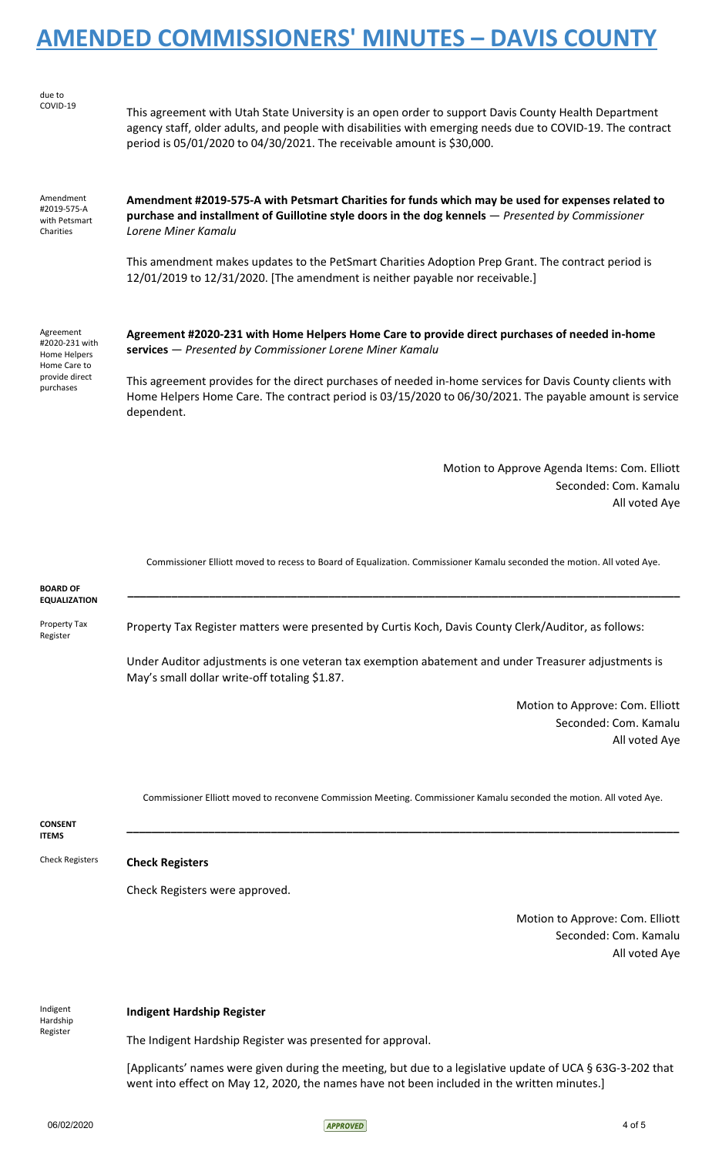| due to<br>COVID-19                                          | This agreement with Utah State University is an open order to support Davis County Health Department<br>agency staff, older adults, and people with disabilities with emerging needs due to COVID-19. The contract<br>period is 05/01/2020 to 04/30/2021. The receivable amount is \$30,000. |
|-------------------------------------------------------------|----------------------------------------------------------------------------------------------------------------------------------------------------------------------------------------------------------------------------------------------------------------------------------------------|
| Amendment<br>#2019-575-A<br>with Petsmart<br>Charities      | Amendment #2019-575-A with Petsmart Charities for funds which may be used for expenses related to<br>purchase and installment of Guillotine style doors in the dog kennels - Presented by Commissioner<br>Lorene Miner Kamalu                                                                |
|                                                             | This amendment makes updates to the PetSmart Charities Adoption Prep Grant. The contract period is<br>12/01/2019 to 12/31/2020. [The amendment is neither payable nor receivable.]                                                                                                           |
| Agreement<br>#2020-231 with<br>Home Helpers<br>Home Care to | Agreement #2020-231 with Home Helpers Home Care to provide direct purchases of needed in-home<br>services - Presented by Commissioner Lorene Miner Kamalu                                                                                                                                    |
| provide direct<br>purchases                                 | This agreement provides for the direct purchases of needed in-home services for Davis County clients with<br>Home Helpers Home Care. The contract period is 03/15/2020 to 06/30/2021. The payable amount is service<br>dependent.                                                            |
|                                                             | Motion to Approve Agenda Items: Com. Elliott<br>Seconded: Com. Kamalu                                                                                                                                                                                                                        |
|                                                             | All voted Aye                                                                                                                                                                                                                                                                                |
|                                                             | Commissioner Elliott moved to recess to Board of Equalization. Commissioner Kamalu seconded the motion. All voted Aye.                                                                                                                                                                       |
| <b>BOARD OF</b><br><b>EQUALIZATION</b>                      |                                                                                                                                                                                                                                                                                              |
| Property Tax<br>Register                                    | Property Tax Register matters were presented by Curtis Koch, Davis County Clerk/Auditor, as follows:                                                                                                                                                                                         |
|                                                             | Under Auditor adjustments is one veteran tax exemption abatement and under Treasurer adjustments is                                                                                                                                                                                          |

May's small dollar write-off totaling \$1.87.

Motion to Approve: Com. Elliott Seconded: Com. Kamalu All voted Aye

Commissioner Elliott moved to reconvene Commission Meeting. Commissioner Kamalu seconded the motion. All voted Aye.

**\_\_\_\_\_\_\_\_\_\_\_\_\_\_\_\_\_\_\_\_\_\_\_\_\_\_\_\_\_\_\_\_\_\_\_\_\_\_\_\_\_\_\_\_\_\_\_\_\_\_\_\_\_\_\_\_\_\_\_\_\_\_\_\_\_\_\_\_\_\_\_\_\_\_\_\_\_\_\_\_\_\_\_\_\_\_\_\_**

**CONSENT ITEMS**

### Check Registers **Check Registers**

Check Registers were approved.

Motion to Approve: Com. Elliott Seconded: Com. Kamalu All voted Aye

Indigent

Hardship Register

### **Indigent Hardship Register**

The Indigent Hardship Register was presented for approval.

[Applicants' names were given during the meeting, but due to a legislative update of UCA § 63G-3-202 that went into effect on May 12, 2020, the names have not been included in the written minutes.]